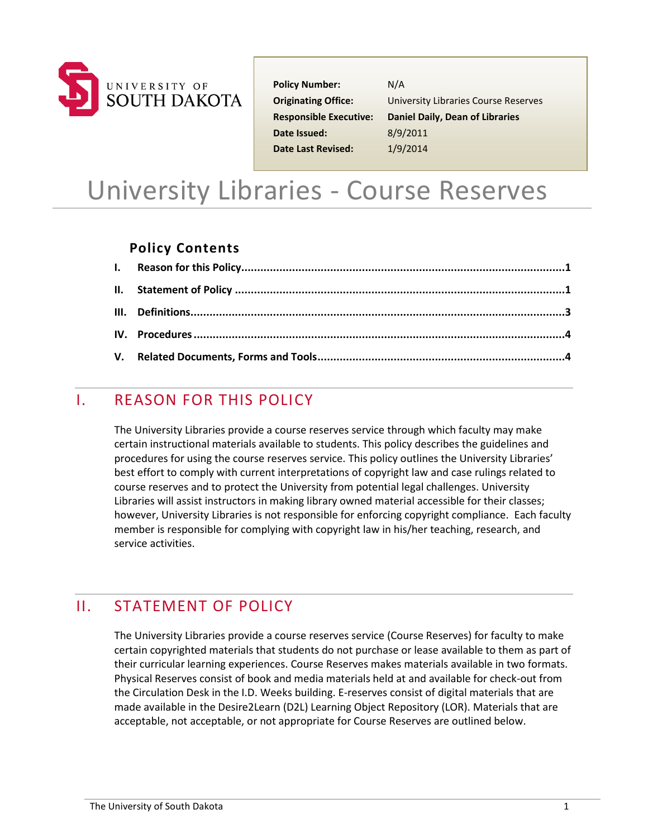

**Policy Number:** N/A **Date Issued:** 8/9/2011 **Date Last Revised:** 1/9/2014

**Originating Office:** University Libraries Course Reserves **Responsible Executive: Daniel Daily, Dean of Libraries**

# University Libraries - Course Reserves

### **Policy Contents**

## <span id="page-0-0"></span>I. REASON FOR THIS POLICY

The University Libraries provide a course reserves service through which faculty may make certain instructional materials available to students. This policy describes the guidelines and procedures for using the course reserves service. This policy outlines the University Libraries' best effort to comply with current interpretations of copyright law and case rulings related to course reserves and to protect the University from potential legal challenges. University Libraries will assist instructors in making library owned material accessible for their classes; however, University Libraries is not responsible for enforcing copyright compliance. Each faculty member is responsible for complying with copyright law in his/her teaching, research, and service activities.

# <span id="page-0-1"></span>II. STATEMENT OF POLICY

The University Libraries provide a course reserves service (Course Reserves) for faculty to make certain copyrighted materials that students do not purchase or lease available to them as part of their curricular learning experiences. Course Reserves makes materials available in two formats. Physical Reserves consist of book and media materials held at and available for check-out from the Circulation Desk in the I.D. Weeks building. E-reserves consist of digital materials that are made available in the Desire2Learn (D2L) Learning Object Repository (LOR). Materials that are acceptable, not acceptable, or not appropriate for Course Reserves are outlined below.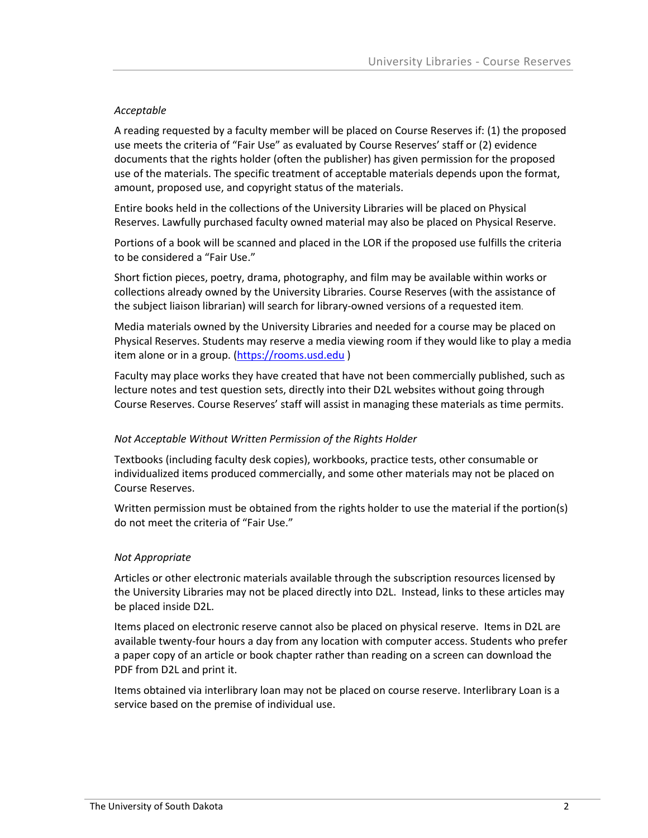#### *Acceptable*

A reading requested by a faculty member will be placed on Course Reserves if: (1) the proposed use meets the criteria of "Fair Use" as evaluated by Course Reserves' staff or (2) evidence documents that the rights holder (often the publisher) has given permission for the proposed use of the materials. The specific treatment of acceptable materials depends upon the format, amount, proposed use, and copyright status of the materials.

Entire books held in the collections of the University Libraries will be placed on Physical Reserves. Lawfully purchased faculty owned material may also be placed on Physical Reserve.

Portions of a book will be scanned and placed in the LOR if the proposed use fulfills the criteria to be considered a "Fair Use."

Short fiction pieces, poetry, drama, photography, and film may be available within works or collections already owned by the University Libraries. Course Reserves (with the assistance of the subject liaison librarian) will search for library-owned versions of a requested item.

Media materials owned by the University Libraries and needed for a course may be placed on Physical Reserves. Students may [reserve](http://link.usd.edu/3713) a media viewing room if they would like to play a media item alone or in a group. [\(https://rooms.usd.edu](https://rooms.usd.edu/) )

Faculty may place works they have created that have not been commercially published, such as lecture notes and test question sets, directly into their D2L websites without going through Course Reserves. Course Reserves' staff will assist in managing these materials as time permits.

#### *Not Acceptable Without Written Permission of the Rights Holder*

Textbooks (including faculty desk copies), workbooks, practice tests, other consumable or individualized items produced commercially, and some other materials may not be placed on Course Reserves.

Written permission must be obtained from the rights holder to use the material if the portion(s) do not meet the criteria of "Fair Use."

#### *Not Appropriate*

Articles or other electronic materials available through the subscription resources licensed by the University Libraries may not be placed directly into D2L. Instead, links to these articles may be placed inside D2L.

Items placed on electronic reserve cannot also be placed on physical reserve. Items in D2L are available twenty-four hours a day from any location with computer access. Students who prefer a paper copy of an article or book chapter rather than reading on a screen can download the PDF from D2L and print it.

Items obtained via interlibrary loan may not be placed on course reserve. Interlibrary Loan is a service based on the premise of individual use.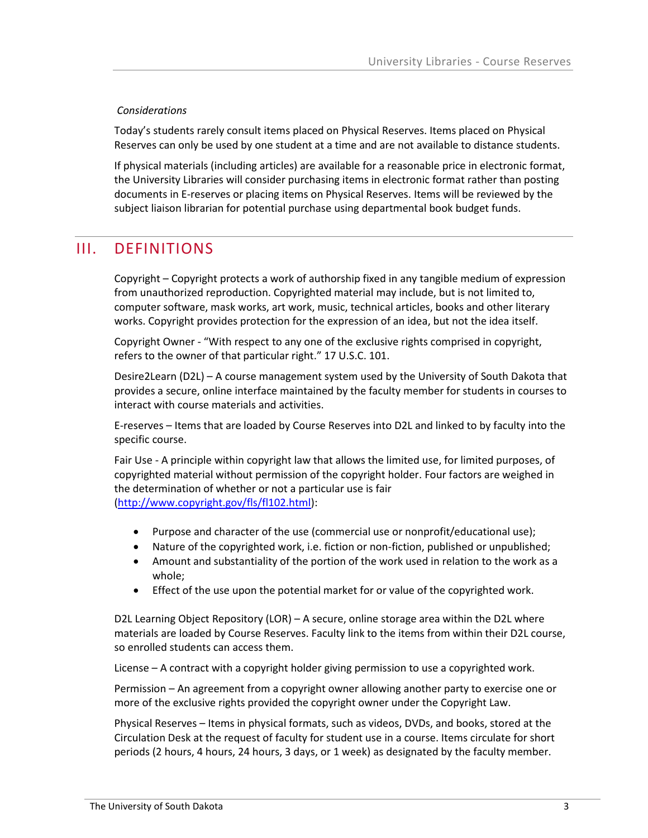#### *Considerations*

Today's students rarely consult items placed on Physical Reserves. Items placed on Physical Reserves can only be used by one student at a time and are not available to distance students.

If physical materials (including articles) are available for a reasonable price in electronic format, the University Libraries will consider purchasing items in electronic format rather than posting documents in E-reserves or placing items on Physical Reserves. Items will be reviewed by the subject liaison librarian for potential purchase using departmental book budget funds.

## <span id="page-2-0"></span>III. DEFINITIONS

Copyright – Copyright protects a work of authorship fixed in any tangible medium of expression from unauthorized reproduction. Copyrighted material may include, but is not limited to, computer software, mask works, art work, music, technical articles, books and other literary works. Copyright provides protection for the expression of an idea, but not the idea itself.

Copyright Owner - "With respect to any one of the exclusive rights comprised in copyright, refers to the owner of that particular right." 17 U.S.C. 101.

Desire2Learn (D2L) – A course management system used by the University of South Dakota that provides a secure, online interface maintained by the faculty member for students in courses to interact with course materials and activities.

E-reserves – Items that are loaded by Course Reserves into D2L and linked to by faculty into the specific course.

Fair Use - A principle within copyright law that allows the limited use, for limited purposes, of copyrighted material without permission of the copyright holder. Four factors are weighed in the determination of whether or not a particular use is fair [\(http://www.copyright.gov/fls/fl102.html\)](http://www.copyright.gov/fls/fl102.html):

- Purpose and character of the use (commercial use or nonprofit/educational use);
- Nature of the copyrighted work, i.e. fiction or non-fiction, published or unpublished;
- Amount and substantiality of the portion of the work used in relation to the work as a whole;
- Effect of the use upon the potential market for or value of the copyrighted work.

D2L Learning Object Repository (LOR) – A secure, online storage area within the D2L where materials are loaded by Course Reserves. Faculty link to the items from within their D2L course, so enrolled students can access them.

License – A contract with a copyright holder giving permission to use a copyrighted work.

Permission – An agreement from a copyright owner allowing another party to exercise one or more of the exclusive rights provided the copyright owner under the Copyright Law.

Physical Reserves – Items in physical formats, such as videos, DVDs, and books, stored at the Circulation Desk at the request of faculty for student use in a course. Items circulate for short periods (2 hours, 4 hours, 24 hours, 3 days, or 1 week) as designated by the faculty member.